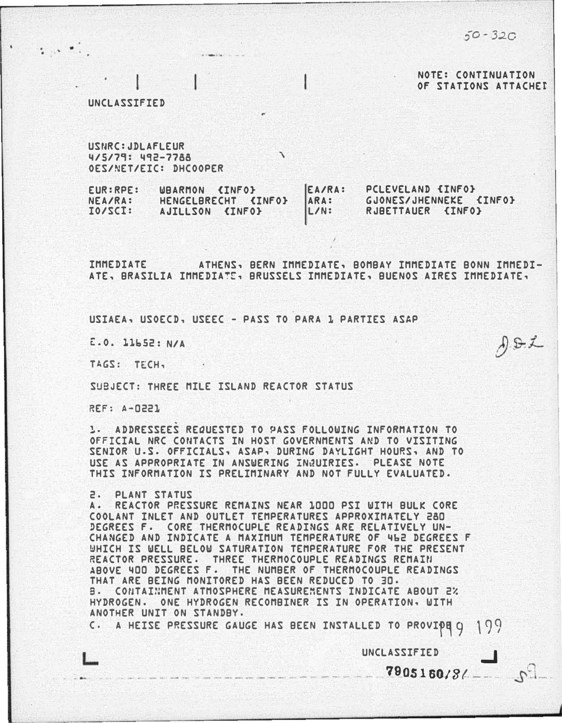:)0-320

 $A.8.2$ 

NOTE: CONTINUATION OF STATIONS ATTACHEt

#### UNCLASSIFIED

 $\mathcal{L}_{\mathcal{A}}$  and  $\mathcal{L}_{\mathcal{A}}$ 

USNRC:JDLAFLEUR 4/5/79: 492-7788 ' OES/NET/EIC: DHCOOPER

EUR:RPE: NEA/RA: IO/SCt: WBARMON <INFO} HENGELBRECHT <INFO} AJILLSON <INFO} EA/RA: ARA: L/N: PCLEVELAND {INFO} GJONES/JHENNEKE <INFO} RJBETTAUER {INFO}

IMMEDIATE ATHENS, BERN IMMEDIATE, BOMBAY IMMEDIATE BONN IMMEDI-ATE, BRASILIA IMMEDIATE, BRUSSELS IMMEDIATE, BUENOS AIRES IMMEDIATE,

USIAEA, USOECD, USEEC - PASS TO PARA 1 PARTIES ASAP

E:.O. l.l.b52 : N/A

TAGS: TECH,

SUBJECT: THREE MILE ISLAND REACTOR STATUS

REF: A-0221

1. ADDRESSEES REQUESTED TO PASS FOLLOWING INFORMATION TO OFFICIAL NRC CONTACTS IN HOST GOVERNMENTS AND TO VISITING SENIOR u.s. OFFICIALS, ASAP, DURING DAYLIGHT HOURS, AND TO USE AS APPROPRIATE IN ANSWERING IN�UIRIES. PLEASE NOTE THIS INFORMATION IS PRELIMINARY AND NOT FULLY EVALUATED.

#### 2. PLANT STATUS

A. REACTOR PRESSURE REMAINS NEAR 1000 PSI WITH BULK CORE COOLANT INLET AND OUTLET TEMPERATURES APPROXIMATELY 280 DEGREES F. CORE THERMOCUPLE READINGS ARE RELATIVELY UN-CHANGED AND INDICATE A MAXIMUM TEMPERATURE OF 462 DEGREES F WHICH IS WELL BELOW SATURATION TEMPERATURE FOR THE PRESENT REACTOR PRESSURE. THREE THERMOCOUPLE READINGS REMAIN ABOVE 400 DEGREES F. THE NUMBER OF THERMOCOUPLE READINGS THAT ARE BEING MONITORED HAS BEEN REDUCED TO 30. a. COnTAI�MENT ATMOSPHERE MEASUREMENTS INDICATE ABOUT 2% HYDROGEN· ONE HYDROGEN RECOMBINER IS IN OPERATION, WITH ANOTHER UNIT ON STANDBY.

C. A HEISE PRESSURE GAUGE HAS BEEN INSTALLED TO PROVIPE 9 199

L UNCLASSIFIED

 $\frac{7905160}{8}$ 

..J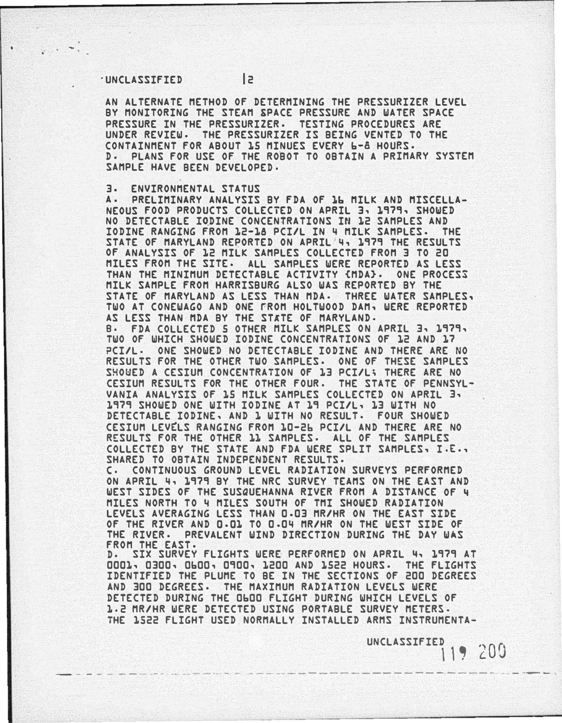### ·UNCLASSIFIED 2

AN ALTERNATE METHOD OF DETERMINING THE PRESSURIZER LEVEL BY MONITORING THE STEAM SPACE PRESSURE AND WATER SPACE PRESSURE IN THE PRESSURIZER. TESTING PROCEDURES ARE UNDER REVIEW. THE PRESSURIZER IS BEING VENTED TO THE CONTAINMENT FOR ABOUT 15 MINUES EVERY b-a HOURS. D. PLANS FOR USE OF THE ROBOT TO OBTAIN A PRIMARY SYSTEM SAMPLE HAVE BEEN DEVELOPED.

## 3. ENVIRONMENTAL STATUS

A. PRELIMINARY ANALYSIS BY FDA OF 1b MILK AND MISCELLA-NEOUS FOOD PRODUCTS COLLECTED ON APRIL 3, 1979, SHOWED NO DETECTABLE IODINE CONCENTRATIONS IN 12 SAMPLES AND IODINE RANGING FROM 12-18 PCI/L IN 4 MILK SAMPLES. THE STATE OF MARYLAND REPORTED ON APRIL 4, 1979 THE RESULTS OF ANALYSIS OF 12 MILK SAMPLES COLLECTED FROM 3 TO 20 MILES FROM THE SITE· ALL SAMPLES WERE REPORTED AS LESS THAN THE MINIMUM DETECTABLE ACTIVITY {MDA}. ONE PROCESS MILK SAMPLE FROM HARRISBURG ALSO WAS REPORTED BY THE STATE OF MARYLAND AS LESS THAN MDA· THREE WATER SAMPLES, TWO AT CONEWAGO AND ONE FROM HOLTWOOD DAM, WERE REPORTED AS LESS THAN MDA BY THE STATE OF MARYLAND. e. FDA COLLECTED 5 OTHER MILK SAMPLES ON APRIL 3, 1979, TWO OF WHICH SHOWED IODINE CONCENTRATIONS OF 12 AND 17 ?CI/L. ONE SHOWED NO DETECTABLE IODINE AND THERE ARE NO RESULTS FOR THE OTHER TWO SAMPLES. ONE OF THESE SAMPLES SHOWED A CESIUM CONCENTRATION OF 13 PCI/L; THERE ARE NO CESIUM RESULTS FOR THE OTHER FOUR· THE STATE OF PENNSYL-VANIA ANALYSIS OF 15 MILK SAMPLES COLLECTED ON APRIL 3, 1979 SHOWED ONE WITH IODINE AT 19 PCI/L, 13 WITH NO DETECTABLE IODINE, AND 1 WITH NO RESULT· FOUR SHOWED CESIUM LEVELS RANGING FROM 10-26 PCI/L AND THERE ARE NO RESULTS FOR THE OTHER 11 SAMPLES. ALL OF THE SAMPLES COLLECTED BY THE STATE AND FDA WERE SPLIT SAMPLES, I.£., SHARED TO OBTAIN INDEPENDENT RESULTS.

c. CONTINUOUS GROUND LEVEL RADIATION SURVEYS PERFORMED ON APRIL 4, 1979 BY THE NRC SURVEY TEAMS ON THE EAST AND WEST SIDES OF THE SUSQUEHANNA RIVER FROM A DISTANCE OF 4 MILES NORTH TO 4 MILES SOUTH OF TMI SHOWED RADIATION LEVELS AVERAGING LESS THAN 0.03 MR/HR ON THE EAST SIDE OF THE RIVER AND Q.Q1 TO 0.04 MR/HR ON THE WEST SIDE OF THE RIVER· PREVALENT WIND DIRECTION DURING THE DAY WAS FROM THE EAST.

SIX SURVEY FLIGHTS WERE PERFORMED ON APRIL 4, 1979 AT 0001, 0300, ObOO, 0900, 1200 AND 1522 HOURS. THE FLIGHTS IDENTIFIED THE PLUME TO BE IN THE SECTIONS OF 200 DEGREES AND 300 DEGREES. THE MAXIMUM RADIATION LEVELS WERE DETECTED DURING THE ObOO FLIGHT DURING WHICH LEVELS OF 1·2 MR/HR WERE DETECTED USING PORTABLE SURVEY METERS. THE 1522 FLIGHT USED NORMALLY INSTALLED ARMS INSTRUMENTA-

- - - - - --·- - .. - --. - - --- ------------ - -- --- ----- ---

**UNCLASSIFIED**  $119200$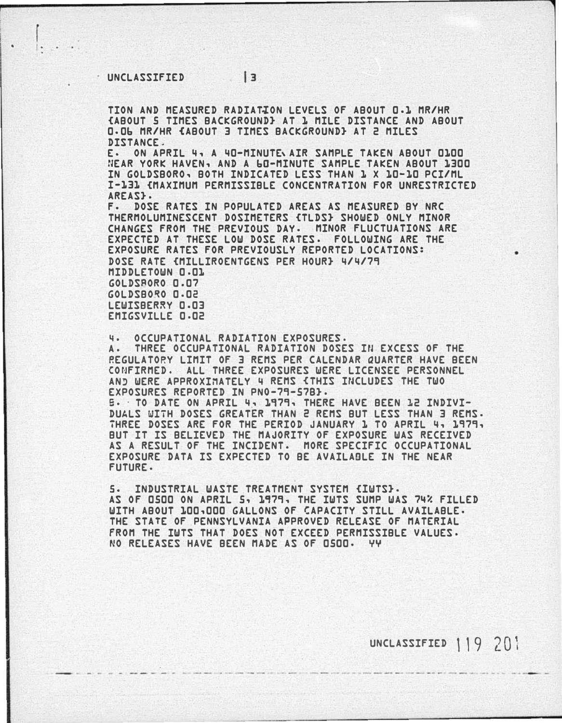':

 $\begin{bmatrix} \phantom{-} \end{bmatrix}$ 

TION AND MEASURED RADIAT�ON LEVELS OF ABOUT 0.1 MR/HR {ABOUT 5 TIMES BACKGROUND} AT 1 MILE DISTANCE AND ABOUT 0-0b MR/HR {ABOUT 3 TIMES BACKGROUND} AT 2 MILES DISTANCE.

E· ON APRIL 4, A 40-MINUTE,AIR SAMPLE TAKEN ABOUT 0100 NEAR YORK HAVEN, AND A bO-MINUTE SAMPLE TAKEN ABOUT 1300 IN GOLDSBORO, BOTH INDICATED LESS THAN 1 X 10-10 PCI/ML I-131 {MAXIMUM PERMISSIBLE CONCENTRATION FOR UNRESTRICTED AREAS<sub>3</sub>.

f. DOSE RATES IN POPULATED AREAS AS MEASURED BY NRC THERMOLUMINESCENT DOSIMETERS {TLDS} SHOWED ONLY MINOR CHANGES FROM THE PREVIOUS DAY. MINOR FLUCTUATIONS ARE EXPECTED AT THESE LOW DOSE RATES. FOLLOWING ARE THE EXPOSURE RATES FOR PREVIOUSLY REPORTED LOCATIONS: DOSE RATE {MILLIROENTGENS PER HOUR} 4/4/79 MIDDLETOWN 0.01 GOLDSBORO 0.07 GOLDSBO�O 0.02 LEWISBERRY 0.03 EMIGSVILLE 0.02

4. OCCUPATIONAL RADIATION EXPOSURES· A. THREE OCCUPATIONAL RADIATION DOSES IN EXCESS OF THE REGULATORY LIMIT OF 3 REMS PER CALENDAR QUARTER HAVE BEEN CONFIRMED. ALL THREE EXPOSURES WERE LICENSEE PERSONNEL AND WERE APPROXIMATELY 4 REMS <THIS INCLUDES THE TWO EXPOSURES REPORTED IN PN0-79-578}. B. · TO DATE ON APRIL 4, 1979, THERE HAVE BEEN 12 INDIVI-DUALS WITH DOSES GREATER THAN 2 REMS BUT LESS THAN 3 REMS. THREE DOSES ARE FOR THE PERIOD JANUARY 1 TO APRIL 4, 1979, BUT IT IS BELIEVED THE MAJORITY OF EXPOSURE WAS RECEIVED AS A RESULT OF THE INCIDENT. MORE SPECIFIC OCCUPATIONAL EXPOSURE DATA IS EXPECTED TO BE AVAILAOLE IN THE NEAR FUTURE.

S. INDUSTRIAL WASTE TREATMENT SYSTEM {IWTS}. AS OF 0500 ON APRIL 5, 1979, THE IWTS SUMP WAS 74% FILLED WITH ABOUT 100,000 GALLONS OF CAPACITY STILL AVAILABLE· THE STATE OF PENNSYLVANIA APPROVED RELEASE OF MATERIAL FROM THE IWTS THAT DOES NOT EXCEED PERMISSIBLE VALUES. NO RELEASES HAVE BEEN MADE AS OF 0500· YY

UNCLASSIFIED 119 201

•